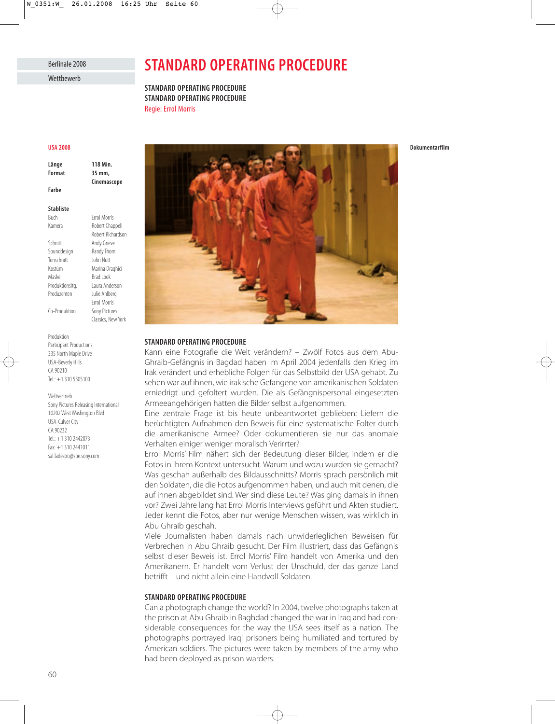## Berlinale 2008 Wetthewerb

# **STANDARD OPERATING PROCEDURE**

**STANDARD OPERATING PROCEDURE STANDARD OPERATING PROCEDURE** Regie: Errol Morris

#### **USA 2008**

**Länge 118 Min. Format 35 mm,**

**Cinemascope**

Robert Richardson

Errol Morris

Classics, New York

**Farbe**

**Stabliste** Buch Errol Morris

Kamera Robert Chappell

Schnitt Andy Grieve Sounddesign Randy Thom Tonschnitt John Nutt Kostüm Marina Draghici Maske Brad Look Produktionsltg. Laura Anderson Produzenten Julie Ahlberg Co-Produktion

Produktion Participant Productions 335 North Maple Drive USA-Beverly Hills CA 90210 Tel.: +1 310 5505100

#### Weltvertrieb

Sony Pictures Releasing International 10202 West Washington Blvd USA-Culver City CA 90232 Tel.: +1 310 2442073 Fax: +1 310 2441011 sal.ladestro@spe.sony.com



## **STANDARD OPERATING PROCEDURE**

Kann eine Fotografie die Welt verändern? – Zwölf Fotos aus dem Abu-Ghraib-Gefängnis in Bagdad haben im April 2004 jedenfalls den Krieg im Irak verändert und erhebliche Folgen für das Selbstbild der USA gehabt. Zu sehen war auf ihnen, wie irakische Gefangene von amerikanischen Soldaten erniedrigt und gefoltert wurden. Die als Gefängnispersonal eingesetzten Armeeangehörigen hatten die Bilder selbst aufgenommen.

Eine zentrale Frage ist bis heute unbeantwortet geblieben: Liefern die berüchtigten Aufnahmen den Beweis für eine systematische Folter durch die amerikanische Armee? Oder dokumentieren sie nur das anomale Verhalten einiger weniger moralisch Verirrter?

Errol Morris' Film nähert sich der Bedeutung dieser Bilder, indem er die Fotos in ihrem Kontext untersucht. Warum und wozu wurden sie gemacht? Was geschah außerhalb des Bildausschnitts? Morris sprach persönlich mit den Soldaten, die die Fotos aufgenommen haben, und auch mit denen, die auf ihnen abgebildet sind. Wer sind diese Leute? Was ging damals in ihnen vor? Zwei Jahre lang hat Errol Morris Interviews geführt und Akten studiert. Jeder kennt die Fotos, aber nur wenige Menschen wissen, was wirklich in Abu Ghraib geschah.

Viele Journalisten haben damals nach unwiderleglichen Beweisen für Verbrechen in Abu Ghraib gesucht. Der Film illustriert, dass das Gefängnis selbst dieser Beweis ist. Errol Morris' Film handelt von Amerika und den Amerikanern. Er handelt vom Verlust der Unschuld, der das ganze Land betrifft – und nicht allein eine Handvoll Soldaten.

## **STANDARD OPERATING PROCEDURE**

Can a photograph change the world? In 2004, twelve photographs taken at the prison at Abu Ghraib in Baghdad changed the war in Iraq and had considerable consequences for the way the USA sees itself as a nation. The photographs portrayed Iraqi prisoners being humiliated and tortured by American soldiers. The pictures were taken by members of the army who had been deployed as prison warders.

60